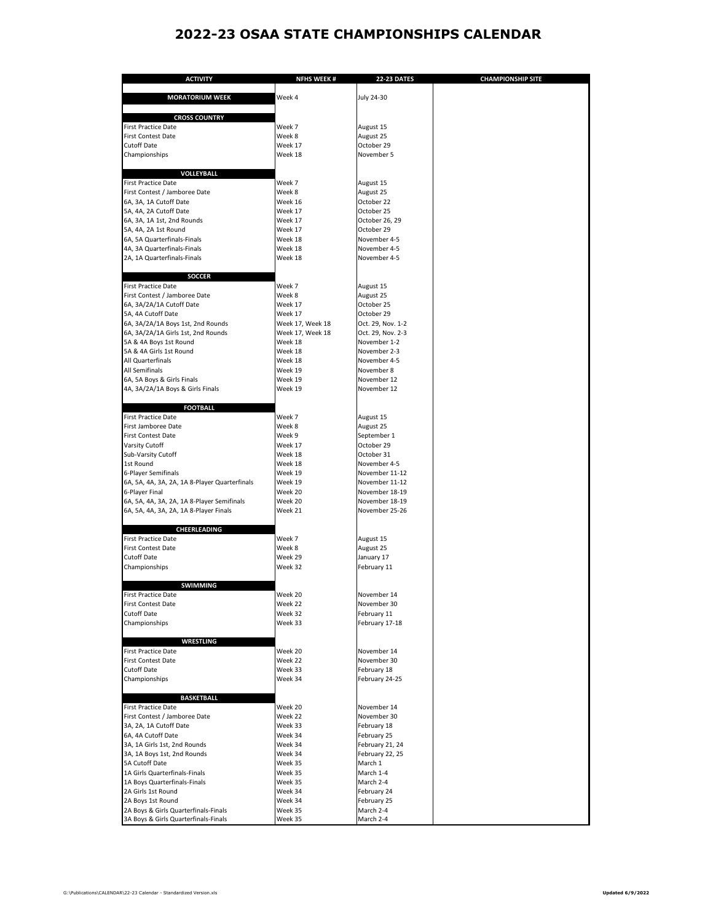## **2022-23 OSAA STATE CHAMPIONSHIPS CALENDAR**

| <b>ACTIVITY</b>                                                                      | <b>NFHS WEEK#</b>  | <b>22-23 DATES</b>               | <b>CHAMPIONSHIP SITE</b> |
|--------------------------------------------------------------------------------------|--------------------|----------------------------------|--------------------------|
|                                                                                      |                    |                                  |                          |
| <b>MORATORIUM WEEK</b>                                                               | Week 4             | <b>July 24-30</b>                |                          |
|                                                                                      |                    |                                  |                          |
| <b>CROSS COUNTRY</b><br><b>First Practice Date</b>                                   | Week 7             | August 15                        |                          |
| <b>First Contest Date</b>                                                            | Week 8             | August 25                        |                          |
| <b>Cutoff Date</b>                                                                   | Week 17            | October 29                       |                          |
| Championships                                                                        | Week 18            | November 5                       |                          |
|                                                                                      |                    |                                  |                          |
| <b>VOLLEYBALL</b>                                                                    |                    |                                  |                          |
| <b>First Practice Date</b>                                                           | Week 7             | August 15                        |                          |
| First Contest / Jamboree Date<br>6A, 3A, 1A Cutoff Date                              | Week 8<br>Week 16  | August 25<br>October 22          |                          |
| 5A, 4A, 2A Cutoff Date                                                               | Week 17            | October 25                       |                          |
| 6A, 3A, 1A 1st, 2nd Rounds                                                           | Week 17            | October 26, 29                   |                          |
| 5A, 4A, 2A 1st Round                                                                 | Week 17            | October 29                       |                          |
| 6A, 5A Quarterfinals-Finals                                                          | Week 18            | November 4-5                     |                          |
| 4A, 3A Quarterfinals-Finals                                                          | Week 18            | November 4-5                     |                          |
| 2A, 1A Quarterfinals-Finals                                                          | Week 18            | November 4-5                     |                          |
| <b>SOCCER</b>                                                                        |                    |                                  |                          |
| <b>First Practice Date</b>                                                           | Week 7             | August 15                        |                          |
| First Contest / Jamboree Date                                                        | Week 8             | August 25                        |                          |
| 6A, 3A/2A/1A Cutoff Date                                                             | Week 17            | October 25                       |                          |
| 5A, 4A Cutoff Date                                                                   | Week 17            | October 29                       |                          |
| 6A, 3A/2A/1A Boys 1st, 2nd Rounds                                                    | Week 17, Week 18   | Oct. 29, Nov. 1-2                |                          |
| 6A, 3A/2A/1A Girls 1st, 2nd Rounds                                                   | Week 17, Week 18   | Oct. 29, Nov. 2-3                |                          |
| 5A & 4A Boys 1st Round<br>5A & 4A Girls 1st Round                                    | Week 18<br>Week 18 | November 1-2<br>November 2-3     |                          |
| All Quarterfinals                                                                    | Week 18            | November 4-5                     |                          |
| <b>All Semifinals</b>                                                                | Week 19            | November 8                       |                          |
| 6A, 5A Boys & Girls Finals                                                           | Week 19            | November 12                      |                          |
| 4A, 3A/2A/1A Boys & Girls Finals                                                     | Week 19            | November 12                      |                          |
|                                                                                      |                    |                                  |                          |
| <b>FOOTBALL</b>                                                                      |                    |                                  |                          |
| <b>First Practice Date</b>                                                           | Week 7             | August 15                        |                          |
| First Jamboree Date<br><b>First Contest Date</b>                                     | Week 8<br>Week 9   | August 25<br>September 1         |                          |
| <b>Varsity Cutoff</b>                                                                | Week 17            | October 29                       |                          |
| Sub-Varsity Cutoff                                                                   | Week 18            | October 31                       |                          |
| 1st Round                                                                            | Week 18            | November 4-5                     |                          |
| 6-Player Semifinals                                                                  | Week 19            | November 11-12                   |                          |
| 6A, 5A, 4A, 3A, 2A, 1A 8-Player Quarterfinals                                        | Week 19            | November 11-12                   |                          |
| 6-Player Final                                                                       | Week 20            | November 18-19                   |                          |
| 6A, 5A, 4A, 3A, 2A, 1A 8-Player Semifinals<br>6A, 5A, 4A, 3A, 2A, 1A 8-Player Finals | Week 20<br>Week 21 | November 18-19<br>November 25-26 |                          |
|                                                                                      |                    |                                  |                          |
| <b>CHEERLEADING</b>                                                                  |                    |                                  |                          |
| <b>First Practice Date</b>                                                           | Week 7             | August 15                        |                          |
| <b>First Contest Date</b>                                                            | Week 8             | August 25                        |                          |
| <b>Cutoff Date</b>                                                                   | Week 29            | January 17                       |                          |
| Championships                                                                        | Week 32            | February 11                      |                          |
| <b>SWIMMING</b>                                                                      |                    |                                  |                          |
| <b>First Practice Date</b>                                                           | Week 20            | November 14                      |                          |
| <b>First Contest Date</b>                                                            | Week 22            | November 30                      |                          |
| <b>Cutoff Date</b>                                                                   | Week 32            | February 11                      |                          |
| Championships                                                                        | Week 33            | February 17-18                   |                          |
|                                                                                      |                    |                                  |                          |
| <b>WRESTLING</b>                                                                     |                    | November 14                      |                          |
| <b>First Practice Date</b><br><b>First Contest Date</b>                              | Week 20<br>Week 22 | November 30                      |                          |
| <b>Cutoff Date</b>                                                                   | Week 33            | February 18                      |                          |
| Championships                                                                        | Week 34            | February 24-25                   |                          |
|                                                                                      |                    |                                  |                          |
| <b>BASKETBALL</b>                                                                    |                    |                                  |                          |
| <b>First Practice Date</b>                                                           | Week 20            | November 14                      |                          |
| First Contest / Jamboree Date                                                        | Week 22            | November 30                      |                          |
| 3A, 2A, 1A Cutoff Date<br>6A, 4A Cutoff Date                                         | Week 33<br>Week 34 | February 18<br>February 25       |                          |
| 3A, 1A Girls 1st, 2nd Rounds                                                         | Week 34            | February 21, 24                  |                          |
| 3A, 1A Boys 1st, 2nd Rounds                                                          | Week 34            | February 22, 25                  |                          |
| 5A Cutoff Date                                                                       | Week 35            | March 1                          |                          |
| 1A Girls Quarterfinals-Finals                                                        | Week 35            | March 1-4                        |                          |
| 1A Boys Quarterfinals-Finals                                                         | Week 35            | March 2-4                        |                          |
| 2A Girls 1st Round                                                                   | Week 34            | February 24                      |                          |
| 2A Boys 1st Round<br>2A Boys & Girls Quarterfinals-Finals                            | Week 34<br>Week 35 | February 25<br>March 2-4         |                          |
| 3A Boys & Girls Quarterfinals-Finals                                                 | Week 35            | March 2-4                        |                          |